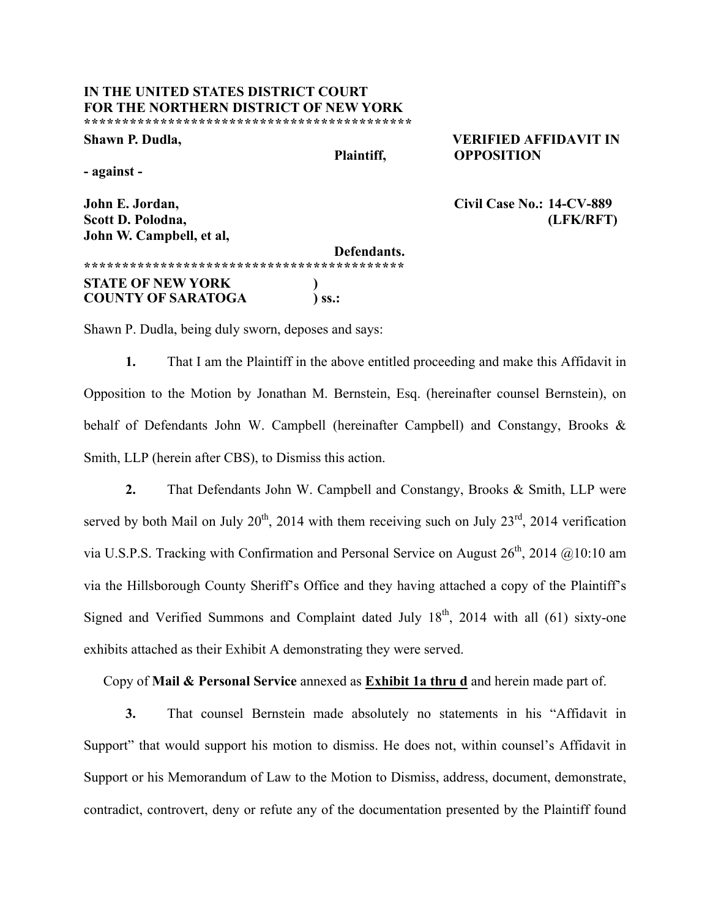## **IN THE UNITED STATES DISTRICT COURT FOR THE NORTHERN DISTRICT OF NEW YORK \*\*\*\*\*\*\*\*\*\*\*\*\*\*\*\*\*\*\*\*\*\*\*\*\*\*\*\*\*\*\*\*\*\*\*\*\*\*\*\*\*\*\***

**Shawn P. Dudla, VERIFIED AFFIDAVIT IN Plaintiff, OPPOSITION**

**- against -**

**John W. Campbell, et al,**

**John E. Jordan, Civil Case No.: 14-CV-889 Scott D. Polodna, (LFK/RFT)**

**Defendants. \*\*\*\*\*\*\*\*\*\*\*\*\*\*\*\*\*\*\*\*\*\*\*\*\*\*\*\*\*\*\*\*\*\*\*\*\*\*\*\*\*\* STATE OF NEW YORK ) COUNTY OF SARATOGA ) ss.:**

Shawn P. Dudla, being duly sworn, deposes and says:

**1.** That I am the Plaintiff in the above entitled proceeding and make this Affidavit in Opposition to the Motion by Jonathan M. Bernstein, Esq. (hereinafter counsel Bernstein), on behalf of Defendants John W. Campbell (hereinafter Campbell) and Constangy, Brooks & Smith, LLP (herein after CBS), to Dismiss this action.

**2.** That Defendants John W. Campbell and Constangy, Brooks & Smith, LLP were served by both Mail on July  $20^{th}$ ,  $2014$  with them receiving such on July  $23^{rd}$ ,  $2014$  verification via U.S.P.S. Tracking with Confirmation and Personal Service on August  $26^{th}$ ,  $2014 \quad \textcircled{a}10:10 \text{ am}$ via the Hillsborough County Sheriff's Office and they having attached a copy of the Plaintiff's Signed and Verified Summons and Complaint dated July  $18<sup>th</sup>$ , 2014 with all (61) sixty-one exhibits attached as their Exhibit A demonstrating they were served.

Copy of **Mail & Personal Service** annexed as **Exhibit 1a thru d** and herein made part of.

**3.** That counsel Bernstein made absolutely no statements in his "Affidavit in Support" that would support his motion to dismiss. He does not, within counsel's Affidavit in Support or his Memorandum of Law to the Motion to Dismiss, address, document, demonstrate, contradict, controvert, deny or refute any of the documentation presented by the Plaintiff found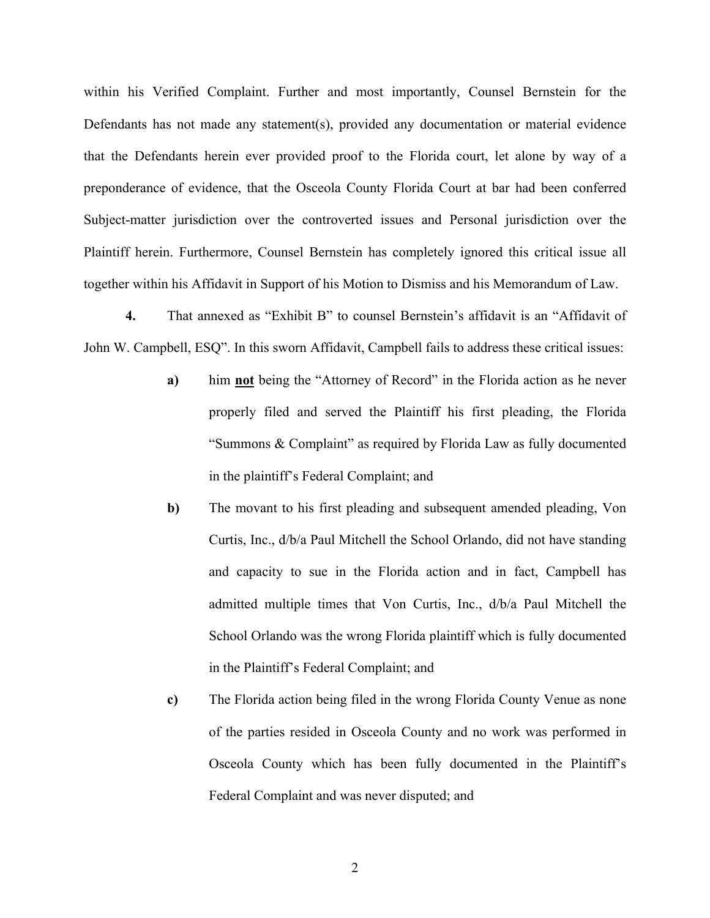within his Verified Complaint. Further and most importantly, Counsel Bernstein for the Defendants has not made any statement(s), provided any documentation or material evidence that the Defendants herein ever provided proof to the Florida court, let alone by way of a preponderance of evidence, that the Osceola County Florida Court at bar had been conferred Subject-matter jurisdiction over the controverted issues and Personal jurisdiction over the Plaintiff herein. Furthermore, Counsel Bernstein has completely ignored this critical issue all together within his Affidavit in Support of his Motion to Dismiss and his Memorandum of Law.

**4.** That annexed as "Exhibit B" to counsel Bernstein's affidavit is an "Affidavit of John W. Campbell, ESQ". In this sworn Affidavit, Campbell fails to address these critical issues:

- **a)** him **not** being the "Attorney of Record" in the Florida action as he never properly filed and served the Plaintiff his first pleading, the Florida "Summons & Complaint" as required by Florida Law as fully documented in the plaintiff's Federal Complaint; and
- **b)** The movant to his first pleading and subsequent amended pleading, Von Curtis, Inc., d/b/a Paul Mitchell the School Orlando, did not have standing and capacity to sue in the Florida action and in fact, Campbell has admitted multiple times that Von Curtis, Inc., d/b/a Paul Mitchell the School Orlando was the wrong Florida plaintiff which is fully documented in the Plaintiff's Federal Complaint; and
- **c)** The Florida action being filed in the wrong Florida County Venue as none of the parties resided in Osceola County and no work was performed in Osceola County which has been fully documented in the Plaintiff's Federal Complaint and was never disputed; and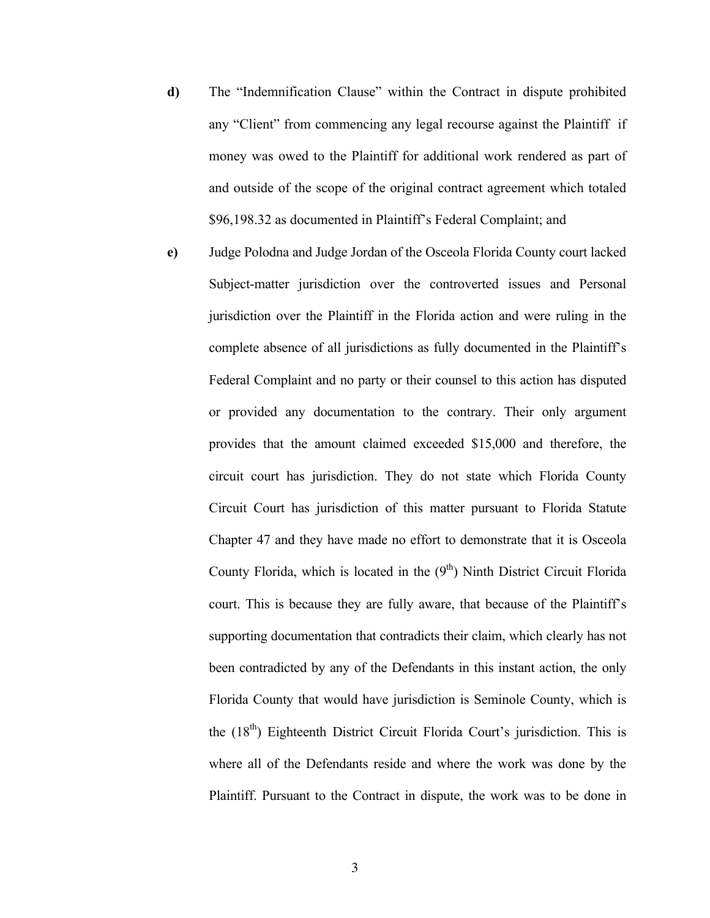- **d)** The "Indemnification Clause" within the Contract in dispute prohibited any "Client" from commencing any legal recourse against the Plaintiff if money was owed to the Plaintiff for additional work rendered as part of and outside of the scope of the original contract agreement which totaled \$96,198.32 as documented in Plaintiff's Federal Complaint; and
- **e)** Judge Polodna and Judge Jordan of the Osceola Florida County court lacked Subject-matter jurisdiction over the controverted issues and Personal jurisdiction over the Plaintiff in the Florida action and were ruling in the complete absence of all jurisdictions as fully documented in the Plaintiff's Federal Complaint and no party or their counsel to this action has disputed or provided any documentation to the contrary. Their only argument provides that the amount claimed exceeded \$15,000 and therefore, the circuit court has jurisdiction. They do not state which Florida County Circuit Court has jurisdiction of this matter pursuant to Florida Statute Chapter 47 and they have made no effort to demonstrate that it is Osceola County Florida, which is located in the  $(9<sup>th</sup>)$  Ninth District Circuit Florida court. This is because they are fully aware, that because of the Plaintiff's supporting documentation that contradicts their claim, which clearly has not been contradicted by any of the Defendants in this instant action, the only Florida County that would have jurisdiction is Seminole County, which is the  $(18<sup>th</sup>)$  Eighteenth District Circuit Florida Court's jurisdiction. This is where all of the Defendants reside and where the work was done by the Plaintiff. Pursuant to the Contract in dispute, the work was to be done in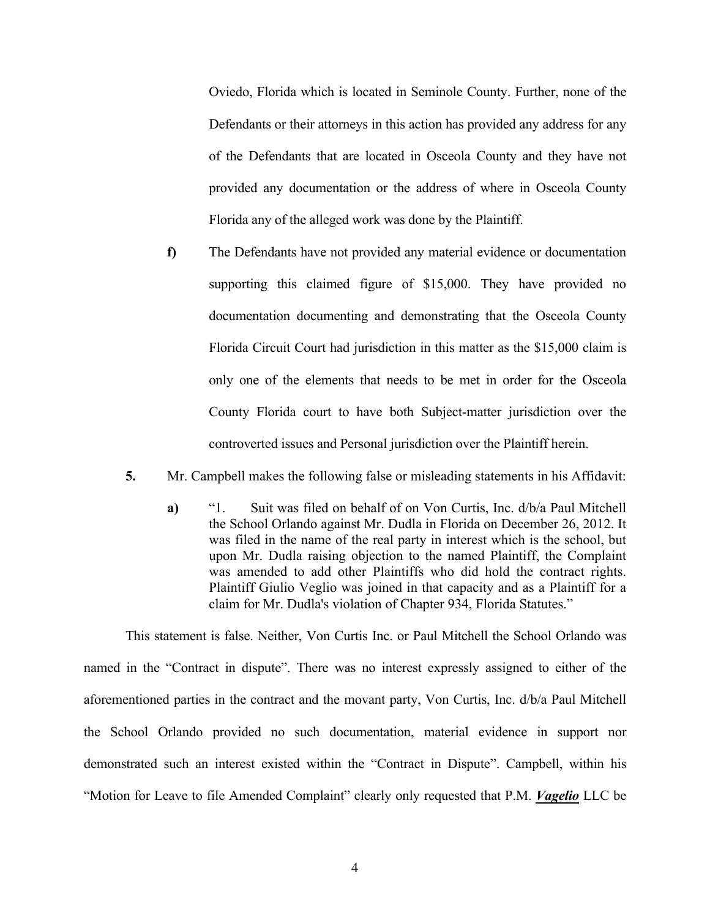Oviedo, Florida which is located in Seminole County. Further, none of the Defendants or their attorneys in this action has provided any address for any of the Defendants that are located in Osceola County and they have not provided any documentation or the address of where in Osceola County Florida any of the alleged work was done by the Plaintiff.

- **f)** The Defendants have not provided any material evidence or documentation supporting this claimed figure of \$15,000. They have provided no documentation documenting and demonstrating that the Osceola County Florida Circuit Court had jurisdiction in this matter as the \$15,000 claim is only one of the elements that needs to be met in order for the Osceola County Florida court to have both Subject-matter jurisdiction over the controverted issues and Personal jurisdiction over the Plaintiff herein.
- **5.** Mr. Campbell makes the following false or misleading statements in his Affidavit:
	- **a)** "1. Suit was filed on behalf of on Von Curtis, Inc. d/b/a Paul Mitchell the School Orlando against Mr. Dudla in Florida on December 26, 2012. It was filed in the name of the real party in interest which is the school, but upon Mr. Dudla raising objection to the named Plaintiff, the Complaint was amended to add other Plaintiffs who did hold the contract rights. Plaintiff Giulio Veglio was joined in that capacity and as a Plaintiff for a claim for Mr. Dudla's violation of Chapter 934, Florida Statutes."

This statement is false. Neither, Von Curtis Inc. or Paul Mitchell the School Orlando was named in the "Contract in dispute". There was no interest expressly assigned to either of the aforementioned parties in the contract and the movant party, Von Curtis, Inc. d/b/a Paul Mitchell the School Orlando provided no such documentation, material evidence in support nor demonstrated such an interest existed within the "Contract in Dispute". Campbell, within his "Motion for Leave to file Amended Complaint" clearly only requested that P.M. *Vagelio* LLC be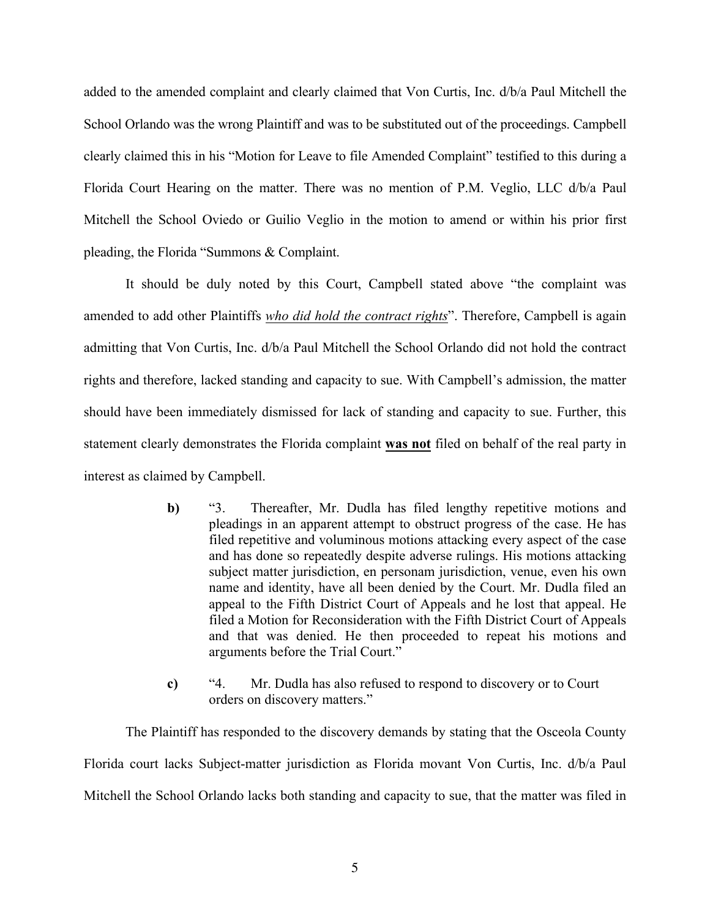added to the amended complaint and clearly claimed that Von Curtis, Inc. d/b/a Paul Mitchell the School Orlando was the wrong Plaintiff and was to be substituted out of the proceedings. Campbell clearly claimed this in his "Motion for Leave to file Amended Complaint" testified to this during a Florida Court Hearing on the matter. There was no mention of P.M. Veglio, LLC d/b/a Paul Mitchell the School Oviedo or Guilio Veglio in the motion to amend or within his prior first pleading, the Florida "Summons & Complaint.

It should be duly noted by this Court, Campbell stated above "the complaint was amended to add other Plaintiffs *who did hold the contract rights*". Therefore, Campbell is again admitting that Von Curtis, Inc. d/b/a Paul Mitchell the School Orlando did not hold the contract rights and therefore, lacked standing and capacity to sue. With Campbell's admission, the matter should have been immediately dismissed for lack of standing and capacity to sue. Further, this statement clearly demonstrates the Florida complaint **was not** filed on behalf of the real party in interest as claimed by Campbell.

- **b)** "3. Thereafter, Mr. Dudla has filed lengthy repetitive motions and pleadings in an apparent attempt to obstruct progress of the case. He has filed repetitive and voluminous motions attacking every aspect of the case and has done so repeatedly despite adverse rulings. His motions attacking subject matter jurisdiction, en personam jurisdiction, venue, even his own name and identity, have all been denied by the Court. Mr. Dudla filed an appeal to the Fifth District Court of Appeals and he lost that appeal. He filed a Motion for Reconsideration with the Fifth District Court of Appeals and that was denied. He then proceeded to repeat his motions and arguments before the Trial Court."
- **c)** "4. Mr. Dudla has also refused to respond to discovery or to Court orders on discovery matters."

The Plaintiff has responded to the discovery demands by stating that the Osceola County Florida court lacks Subject-matter jurisdiction as Florida movant Von Curtis, Inc. d/b/a Paul Mitchell the School Orlando lacks both standing and capacity to sue, that the matter was filed in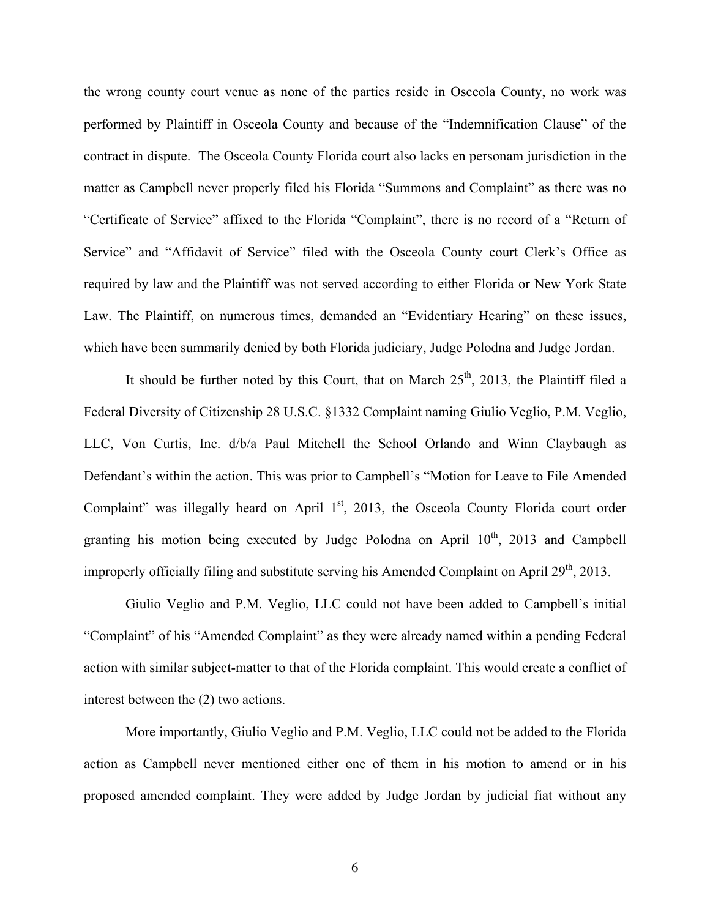the wrong county court venue as none of the parties reside in Osceola County, no work was performed by Plaintiff in Osceola County and because of the "Indemnification Clause" of the contract in dispute. The Osceola County Florida court also lacks en personam jurisdiction in the matter as Campbell never properly filed his Florida "Summons and Complaint" as there was no "Certificate of Service" affixed to the Florida "Complaint", there is no record of a "Return of Service" and "Affidavit of Service" filed with the Osceola County court Clerk's Office as required by law and the Plaintiff was not served according to either Florida or New York State Law. The Plaintiff, on numerous times, demanded an "Evidentiary Hearing" on these issues, which have been summarily denied by both Florida judiciary, Judge Polodna and Judge Jordan.

It should be further noted by this Court, that on March  $25<sup>th</sup>$ , 2013, the Plaintiff filed a Federal Diversity of Citizenship 28 U.S.C. §1332 Complaint naming Giulio Veglio, P.M. Veglio, LLC, Von Curtis, Inc. d/b/a Paul Mitchell the School Orlando and Winn Claybaugh as Defendant's within the action. This was prior to Campbell's "Motion for Leave to File Amended Complaint" was illegally heard on April  $1<sup>st</sup>$ , 2013, the Osceola County Florida court order granting his motion being executed by Judge Polodna on April  $10<sup>th</sup>$ , 2013 and Campbell improperly officially filing and substitute serving his Amended Complaint on April  $29<sup>th</sup>$ , 2013.

Giulio Veglio and P.M. Veglio, LLC could not have been added to Campbell's initial "Complaint" of his "Amended Complaint" as they were already named within a pending Federal action with similar subject-matter to that of the Florida complaint. This would create a conflict of interest between the (2) two actions.

More importantly, Giulio Veglio and P.M. Veglio, LLC could not be added to the Florida action as Campbell never mentioned either one of them in his motion to amend or in his proposed amended complaint. They were added by Judge Jordan by judicial fiat without any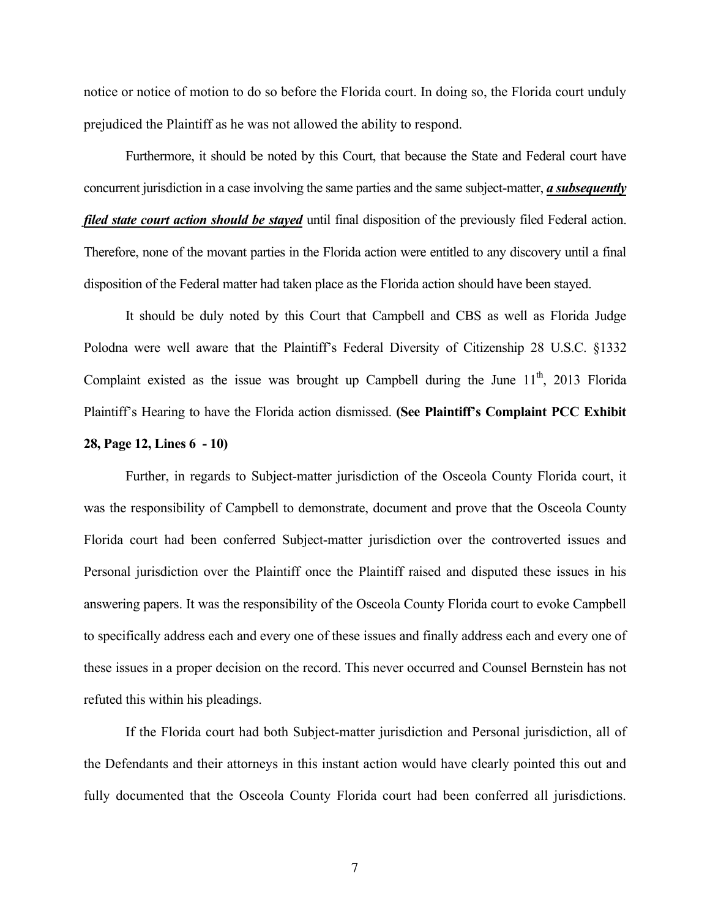notice or notice of motion to do so before the Florida court. In doing so, the Florida court unduly prejudiced the Plaintiff as he was not allowed the ability to respond.

Furthermore, it should be noted by this Court, that because the State and Federal court have concurrent jurisdiction in a case involving the same parties and the same subject-matter, *a subsequently filed state court action should be stayed* until final disposition of the previously filed Federal action. Therefore, none of the movant parties in the Florida action were entitled to any discovery until a final disposition of the Federal matter had taken place as the Florida action should have been stayed.

It should be duly noted by this Court that Campbell and CBS as well as Florida Judge Polodna were well aware that the Plaintiff's Federal Diversity of Citizenship 28 U.S.C. §1332 Complaint existed as the issue was brought up Campbell during the June  $11<sup>th</sup>$ , 2013 Florida Plaintiff's Hearing to have the Florida action dismissed. **(See Plaintiff's Complaint PCC Exhibit 28, Page 12, Lines 6 - 10)**

Further, in regards to Subject-matter jurisdiction of the Osceola County Florida court, it was the responsibility of Campbell to demonstrate, document and prove that the Osceola County Florida court had been conferred Subject-matter jurisdiction over the controverted issues and Personal jurisdiction over the Plaintiff once the Plaintiff raised and disputed these issues in his answering papers. It was the responsibility of the Osceola County Florida court to evoke Campbell to specifically address each and every one of these issues and finally address each and every one of these issues in a proper decision on the record. This never occurred and Counsel Bernstein has not refuted this within his pleadings.

If the Florida court had both Subject-matter jurisdiction and Personal jurisdiction, all of the Defendants and their attorneys in this instant action would have clearly pointed this out and fully documented that the Osceola County Florida court had been conferred all jurisdictions.

7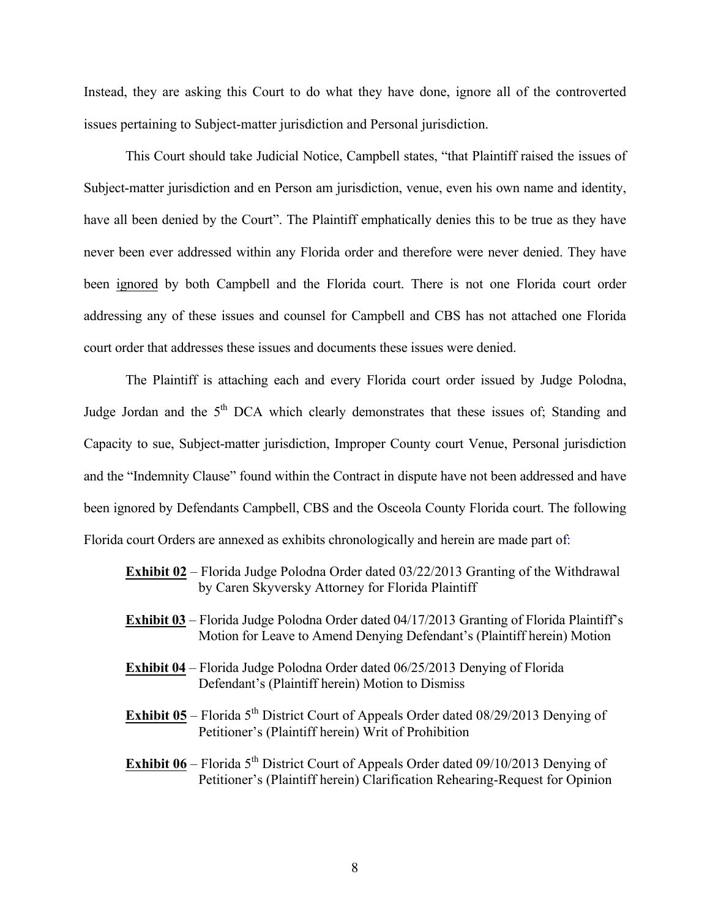Instead, they are asking this Court to do what they have done, ignore all of the controverted issues pertaining to Subject-matter jurisdiction and Personal jurisdiction.

This Court should take Judicial Notice, Campbell states, "that Plaintiff raised the issues of Subject-matter jurisdiction and en Person am jurisdiction, venue, even his own name and identity, have all been denied by the Court". The Plaintiff emphatically denies this to be true as they have never been ever addressed within any Florida order and therefore were never denied. They have been ignored by both Campbell and the Florida court. There is not one Florida court order addressing any of these issues and counsel for Campbell and CBS has not attached one Florida court order that addresses these issues and documents these issues were denied.

The Plaintiff is attaching each and every Florida court order issued by Judge Polodna, Judge Jordan and the  $5<sup>th</sup>$  DCA which clearly demonstrates that these issues of; Standing and Capacity to sue, Subject-matter jurisdiction, Improper County court Venue, Personal jurisdiction and the "Indemnity Clause" found within the Contract in dispute have not been addressed and have been ignored by Defendants Campbell, CBS and the Osceola County Florida court. The following Florida court Orders are annexed as exhibits chronologically and herein are made part of:

- **Exhibit 02** Florida Judge Polodna Order dated 03/22/2013 Granting of the Withdrawal by Caren Skyversky Attorney for Florida Plaintiff
- **Exhibit 03** Florida Judge Polodna Order dated 04/17/2013 Granting of Florida Plaintiff's Motion for Leave to Amend Denying Defendant's (Plaintiff herein) Motion
- **Exhibit 04** Florida Judge Polodna Order dated 06/25/2013 Denying of Florida Defendant's (Plaintiff herein) Motion to Dismiss
- **Exhibit 05** Florida 5<sup>th</sup> District Court of Appeals Order dated 08/29/2013 Denying of Petitioner's (Plaintiff herein) Writ of Prohibition
- **Exhibit 06** Florida 5<sup>th</sup> District Court of Appeals Order dated 09/10/2013 Denying of Petitioner's (Plaintiff herein) Clarification Rehearing-Request for Opinion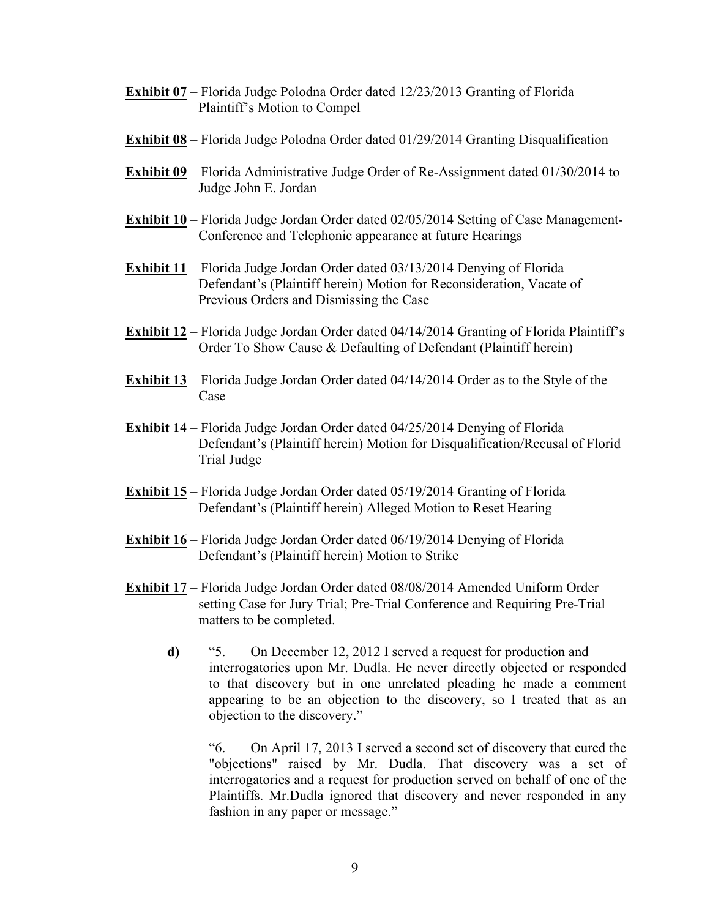- **Exhibit 07** Florida Judge Polodna Order dated 12/23/2013 Granting of Florida Plaintiff's Motion to Compel
- **Exhibit 08** Florida Judge Polodna Order dated 01/29/2014 Granting Disqualification
- **Exhibit 09** Florida Administrative Judge Order of Re-Assignment dated 01/30/2014 to Judge John E. Jordan
- **Exhibit 10** Florida Judge Jordan Order dated 02/05/2014 Setting of Case Management-Conference and Telephonic appearance at future Hearings
- **Exhibit 11** Florida Judge Jordan Order dated 03/13/2014 Denying of Florida Defendant's (Plaintiff herein) Motion for Reconsideration, Vacate of Previous Orders and Dismissing the Case
- **Exhibit 12** Florida Judge Jordan Order dated 04/14/2014 Granting of Florida Plaintiff's Order To Show Cause & Defaulting of Defendant (Plaintiff herein)
- **Exhibit 13** Florida Judge Jordan Order dated 04/14/2014 Order as to the Style of the Case
- **Exhibit 14** Florida Judge Jordan Order dated 04/25/2014 Denying of Florida Defendant's (Plaintiff herein) Motion for Disqualification/Recusal of Florid Trial Judge
- **Exhibit 15** Florida Judge Jordan Order dated 05/19/2014 Granting of Florida Defendant's (Plaintiff herein) Alleged Motion to Reset Hearing
- **Exhibit 16** Florida Judge Jordan Order dated 06/19/2014 Denying of Florida Defendant's (Plaintiff herein) Motion to Strike
- **Exhibit 17** Florida Judge Jordan Order dated 08/08/2014 Amended Uniform Order setting Case for Jury Trial; Pre-Trial Conference and Requiring Pre-Trial matters to be completed.
	- **d)** "5. On December 12, 2012 I served a request for production and interrogatories upon Mr. Dudla. He never directly objected or responded to that discovery but in one unrelated pleading he made a comment appearing to be an objection to the discovery, so I treated that as an objection to the discovery."

"6. On April 17, 2013 I served a second set of discovery that cured the "objections" raised by Mr. Dudla. That discovery was a set of interrogatories and a request for production served on behalf of one of the Plaintiffs. Mr.Dudla ignored that discovery and never responded in any fashion in any paper or message."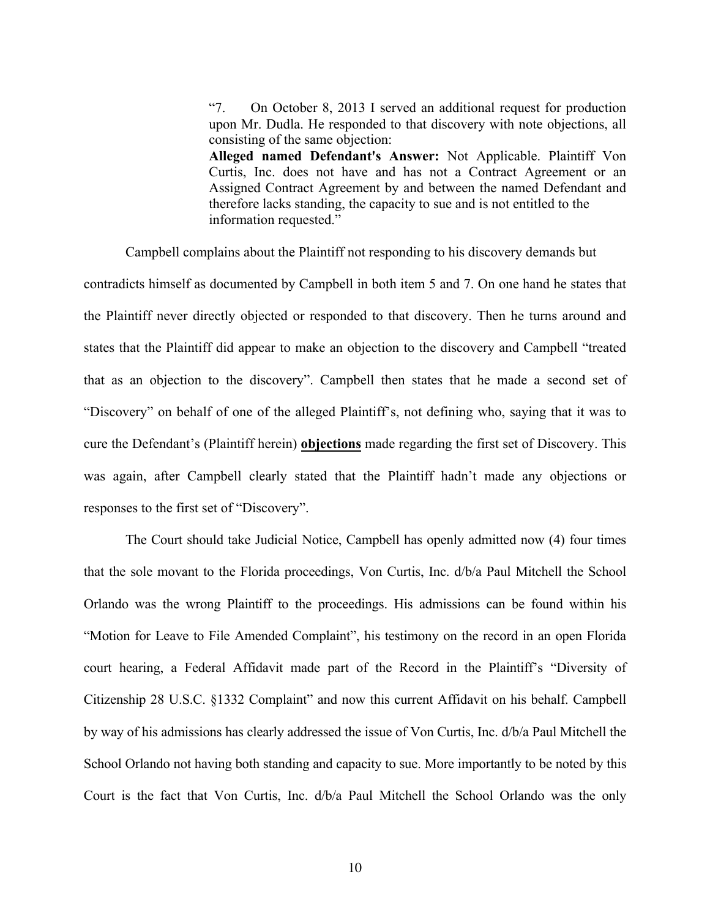"7. On October 8, 2013 I served an additional request for production upon Mr. Dudla. He responded to that discovery with note objections, all consisting of the same objection: **Alleged named Defendant's Answer:** Not Applicable. Plaintiff Von Curtis, Inc. does not have and has not a Contract Agreement or an Assigned Contract Agreement by and between the named Defendant and therefore lacks standing, the capacity to sue and is not entitled to the information requested."

Campbell complains about the Plaintiff not responding to his discovery demands but

contradicts himself as documented by Campbell in both item 5 and 7. On one hand he states that the Plaintiff never directly objected or responded to that discovery. Then he turns around and states that the Plaintiff did appear to make an objection to the discovery and Campbell "treated that as an objection to the discovery". Campbell then states that he made a second set of "Discovery" on behalf of one of the alleged Plaintiff's, not defining who, saying that it was to cure the Defendant's (Plaintiff herein) **objections** made regarding the first set of Discovery. This was again, after Campbell clearly stated that the Plaintiff hadn't made any objections or responses to the first set of "Discovery".

The Court should take Judicial Notice, Campbell has openly admitted now (4) four times that the sole movant to the Florida proceedings, Von Curtis, Inc. d/b/a Paul Mitchell the School Orlando was the wrong Plaintiff to the proceedings. His admissions can be found within his "Motion for Leave to File Amended Complaint", his testimony on the record in an open Florida court hearing, a Federal Affidavit made part of the Record in the Plaintiff's "Diversity of Citizenship 28 U.S.C. §1332 Complaint" and now this current Affidavit on his behalf. Campbell by way of his admissions has clearly addressed the issue of Von Curtis, Inc. d/b/a Paul Mitchell the School Orlando not having both standing and capacity to sue. More importantly to be noted by this Court is the fact that Von Curtis, Inc. d/b/a Paul Mitchell the School Orlando was the only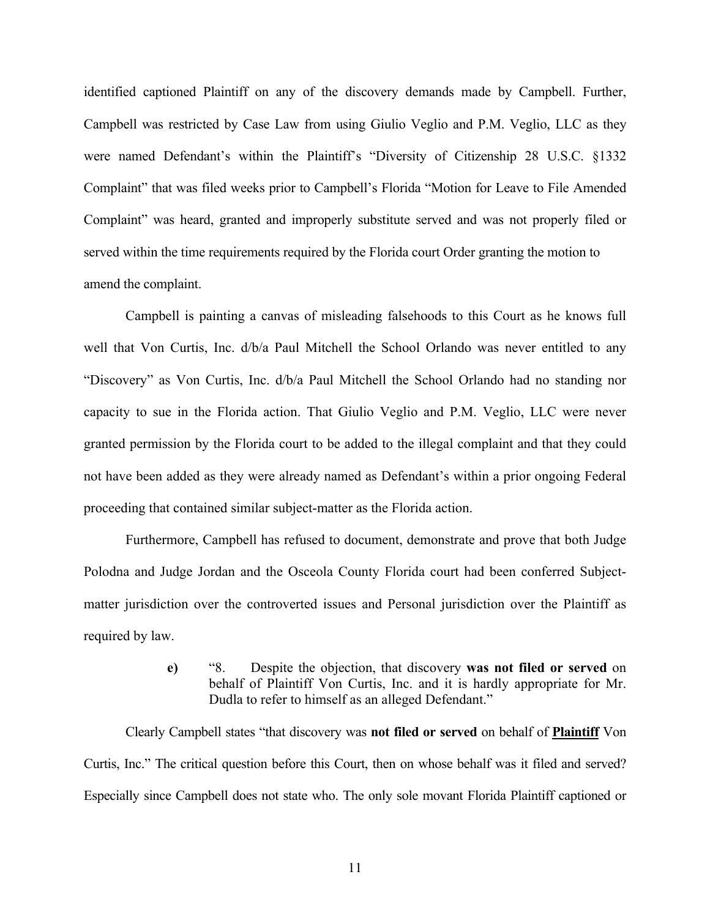identified captioned Plaintiff on any of the discovery demands made by Campbell. Further, Campbell was restricted by Case Law from using Giulio Veglio and P.M. Veglio, LLC as they were named Defendant's within the Plaintiff's "Diversity of Citizenship 28 U.S.C. §1332 Complaint" that was filed weeks prior to Campbell's Florida "Motion for Leave to File Amended Complaint" was heard, granted and improperly substitute served and was not properly filed or served within the time requirements required by the Florida court Order granting the motion to amend the complaint.

Campbell is painting a canvas of misleading falsehoods to this Court as he knows full well that Von Curtis, Inc.  $d/b/a$  Paul Mitchell the School Orlando was never entitled to any "Discovery" as Von Curtis, Inc. d/b/a Paul Mitchell the School Orlando had no standing nor capacity to sue in the Florida action. That Giulio Veglio and P.M. Veglio, LLC were never granted permission by the Florida court to be added to the illegal complaint and that they could not have been added as they were already named as Defendant's within a prior ongoing Federal proceeding that contained similar subject-matter as the Florida action.

Furthermore, Campbell has refused to document, demonstrate and prove that both Judge Polodna and Judge Jordan and the Osceola County Florida court had been conferred Subjectmatter jurisdiction over the controverted issues and Personal jurisdiction over the Plaintiff as required by law.

> **e)** "8. Despite the objection, that discovery **was not filed or served** on behalf of Plaintiff Von Curtis, Inc. and it is hardly appropriate for Mr. Dudla to refer to himself as an alleged Defendant."

Clearly Campbell states "that discovery was **not filed or served** on behalf of **Plaintiff** Von Curtis, Inc." The critical question before this Court, then on whose behalf was it filed and served? Especially since Campbell does not state who. The only sole movant Florida Plaintiff captioned or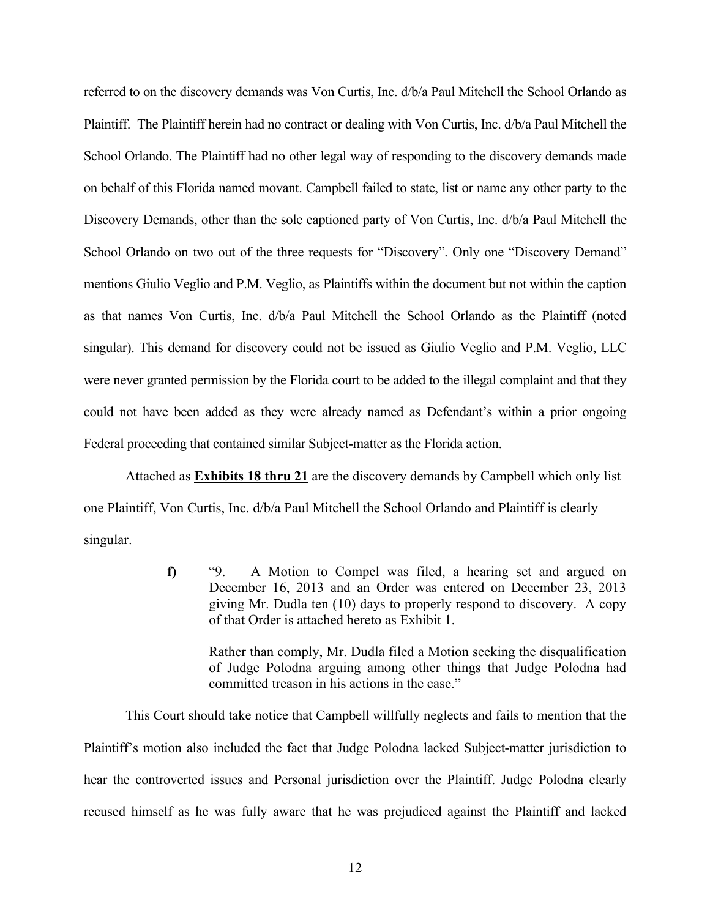referred to on the discovery demands was Von Curtis, Inc. d/b/a Paul Mitchell the School Orlando as Plaintiff. The Plaintiff herein had no contract or dealing with Von Curtis, Inc. d/b/a Paul Mitchell the School Orlando. The Plaintiff had no other legal way of responding to the discovery demands made on behalf of this Florida named movant. Campbell failed to state, list or name any other party to the Discovery Demands, other than the sole captioned party of Von Curtis, Inc. d/b/a Paul Mitchell the School Orlando on two out of the three requests for "Discovery". Only one "Discovery Demand" mentions Giulio Veglio and P.M. Veglio, as Plaintiffs within the document but not within the caption as that names Von Curtis, Inc. d/b/a Paul Mitchell the School Orlando as the Plaintiff (noted singular). This demand for discovery could not be issued as Giulio Veglio and P.M. Veglio, LLC were never granted permission by the Florida court to be added to the illegal complaint and that they could not have been added as they were already named as Defendant's within a prior ongoing Federal proceeding that contained similar Subject-matter as the Florida action.

Attached as **Exhibits 18 thru 21** are the discovery demands by Campbell which only list one Plaintiff, Von Curtis, Inc. d/b/a Paul Mitchell the School Orlando and Plaintiff is clearly singular.

> **f)** "9. A Motion to Compel was filed, a hearing set and argued on December 16, 2013 and an Order was entered on December 23, 2013 giving Mr. Dudla ten (10) days to properly respond to discovery. A copy of that Order is attached hereto as Exhibit 1.

Rather than comply, Mr. Dudla filed a Motion seeking the disqualification of Judge Polodna arguing among other things that Judge Polodna had committed treason in his actions in the case."

This Court should take notice that Campbell willfully neglects and fails to mention that the Plaintiff's motion also included the fact that Judge Polodna lacked Subject-matter jurisdiction to hear the controverted issues and Personal jurisdiction over the Plaintiff. Judge Polodna clearly recused himself as he was fully aware that he was prejudiced against the Plaintiff and lacked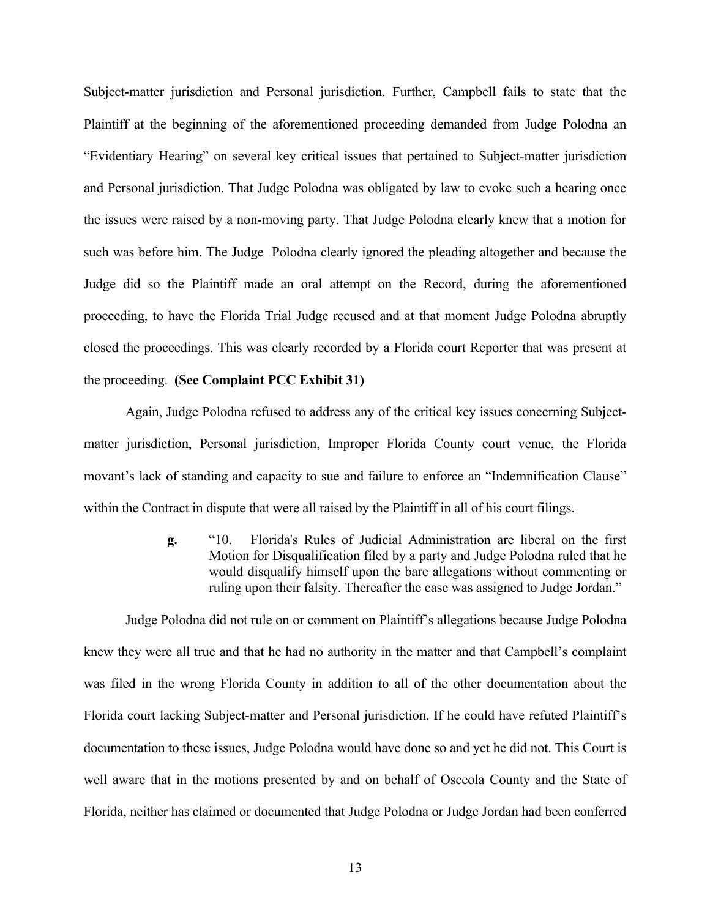Subject-matter jurisdiction and Personal jurisdiction. Further, Campbell fails to state that the Plaintiff at the beginning of the aforementioned proceeding demanded from Judge Polodna an "Evidentiary Hearing" on several key critical issues that pertained to Subject-matter jurisdiction and Personal jurisdiction. That Judge Polodna was obligated by law to evoke such a hearing once the issues were raised by a non-moving party. That Judge Polodna clearly knew that a motion for such was before him. The Judge Polodna clearly ignored the pleading altogether and because the Judge did so the Plaintiff made an oral attempt on the Record, during the aforementioned proceeding, to have the Florida Trial Judge recused and at that moment Judge Polodna abruptly closed the proceedings. This was clearly recorded by a Florida court Reporter that was present at the proceeding. **(See Complaint PCC Exhibit 31)**

Again, Judge Polodna refused to address any of the critical key issues concerning Subjectmatter jurisdiction, Personal jurisdiction, Improper Florida County court venue, the Florida movant's lack of standing and capacity to sue and failure to enforce an "Indemnification Clause" within the Contract in dispute that were all raised by the Plaintiff in all of his court filings.

> **g.** "10. Florida's Rules of Judicial Administration are liberal on the first Motion for Disqualification filed by a party and Judge Polodna ruled that he would disqualify himself upon the bare allegations without commenting or ruling upon their falsity. Thereafter the case was assigned to Judge Jordan."

Judge Polodna did not rule on or comment on Plaintiff's allegations because Judge Polodna knew they were all true and that he had no authority in the matter and that Campbell's complaint was filed in the wrong Florida County in addition to all of the other documentation about the Florida court lacking Subject-matter and Personal jurisdiction. If he could have refuted Plaintiff's documentation to these issues, Judge Polodna would have done so and yet he did not. This Court is well aware that in the motions presented by and on behalf of Osceola County and the State of Florida, neither has claimed or documented that Judge Polodna or Judge Jordan had been conferred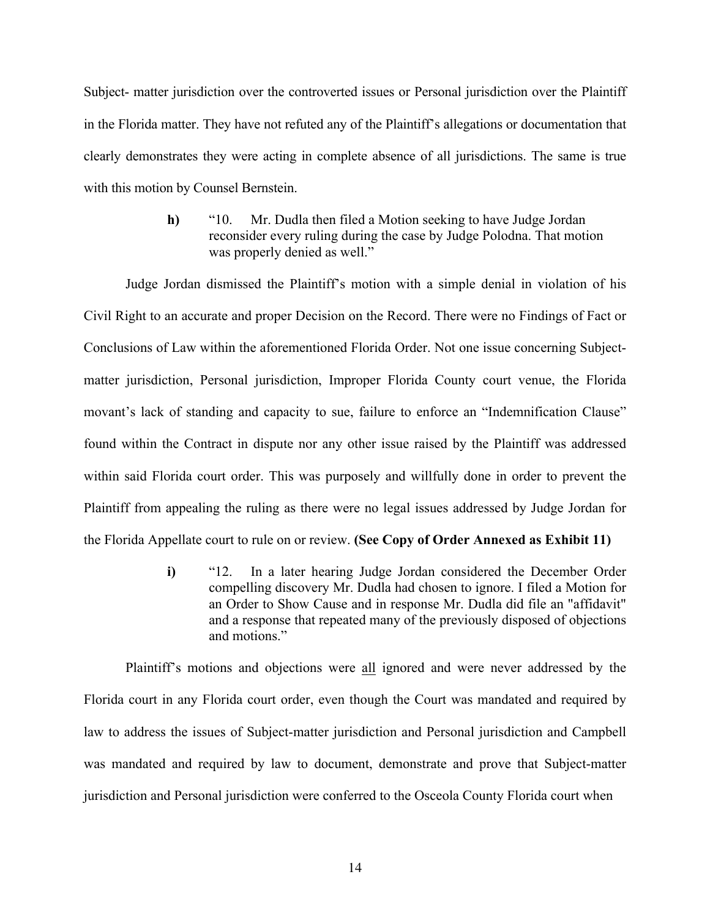Subject- matter jurisdiction over the controverted issues or Personal jurisdiction over the Plaintiff in the Florida matter. They have not refuted any of the Plaintiff's allegations or documentation that clearly demonstrates they were acting in complete absence of all jurisdictions. The same is true with this motion by Counsel Bernstein.

> **h)** "10. Mr. Dudla then filed a Motion seeking to have Judge Jordan reconsider every ruling during the case by Judge Polodna. That motion was properly denied as well."

Judge Jordan dismissed the Plaintiff's motion with a simple denial in violation of his Civil Right to an accurate and proper Decision on the Record. There were no Findings of Fact or Conclusions of Law within the aforementioned Florida Order. Not one issue concerning Subjectmatter jurisdiction, Personal jurisdiction, Improper Florida County court venue, the Florida movant's lack of standing and capacity to sue, failure to enforce an "Indemnification Clause" found within the Contract in dispute nor any other issue raised by the Plaintiff was addressed within said Florida court order. This was purposely and willfully done in order to prevent the Plaintiff from appealing the ruling as there were no legal issues addressed by Judge Jordan for the Florida Appellate court to rule on or review. **(See Copy of Order Annexed as Exhibit 11)**

> **i)** "12. In a later hearing Judge Jordan considered the December Order compelling discovery Mr. Dudla had chosen to ignore. I filed a Motion for an Order to Show Cause and in response Mr. Dudla did file an "affidavit" and a response that repeated many of the previously disposed of objections and motions."

Plaintiff's motions and objections were all ignored and were never addressed by the Florida court in any Florida court order, even though the Court was mandated and required by law to address the issues of Subject-matter jurisdiction and Personal jurisdiction and Campbell was mandated and required by law to document, demonstrate and prove that Subject-matter jurisdiction and Personal jurisdiction were conferred to the Osceola County Florida court when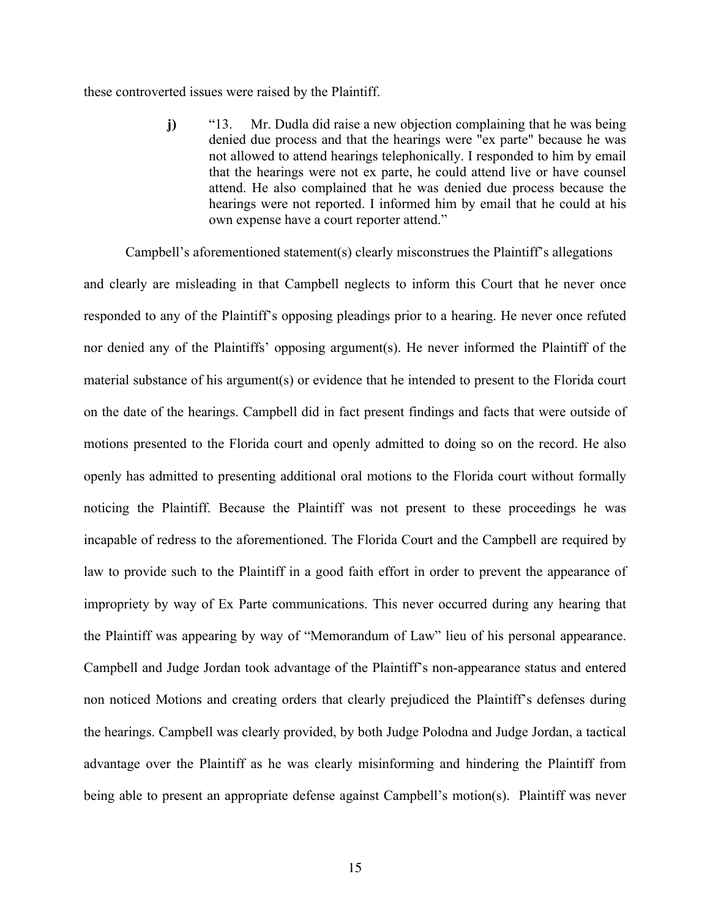these controverted issues were raised by the Plaintiff.

**j)** "13. Mr. Dudla did raise a new objection complaining that he was being denied due process and that the hearings were "ex parte" because he was not allowed to attend hearings telephonically. I responded to him by email that the hearings were not ex parte, he could attend live or have counsel attend. He also complained that he was denied due process because the hearings were not reported. I informed him by email that he could at his own expense have a court reporter attend."

Campbell's aforementioned statement(s) clearly misconstrues the Plaintiff's allegations and clearly are misleading in that Campbell neglects to inform this Court that he never once responded to any of the Plaintiff's opposing pleadings prior to a hearing. He never once refuted nor denied any of the Plaintiffs' opposing argument(s). He never informed the Plaintiff of the material substance of his argument(s) or evidence that he intended to present to the Florida court on the date of the hearings. Campbell did in fact present findings and facts that were outside of motions presented to the Florida court and openly admitted to doing so on the record. He also openly has admitted to presenting additional oral motions to the Florida court without formally noticing the Plaintiff. Because the Plaintiff was not present to these proceedings he was incapable of redress to the aforementioned. The Florida Court and the Campbell are required by law to provide such to the Plaintiff in a good faith effort in order to prevent the appearance of impropriety by way of Ex Parte communications. This never occurred during any hearing that the Plaintiff was appearing by way of "Memorandum of Law" lieu of his personal appearance. Campbell and Judge Jordan took advantage of the Plaintiff's non-appearance status and entered non noticed Motions and creating orders that clearly prejudiced the Plaintiff's defenses during the hearings. Campbell was clearly provided, by both Judge Polodna and Judge Jordan, a tactical advantage over the Plaintiff as he was clearly misinforming and hindering the Plaintiff from being able to present an appropriate defense against Campbell's motion(s). Plaintiff was never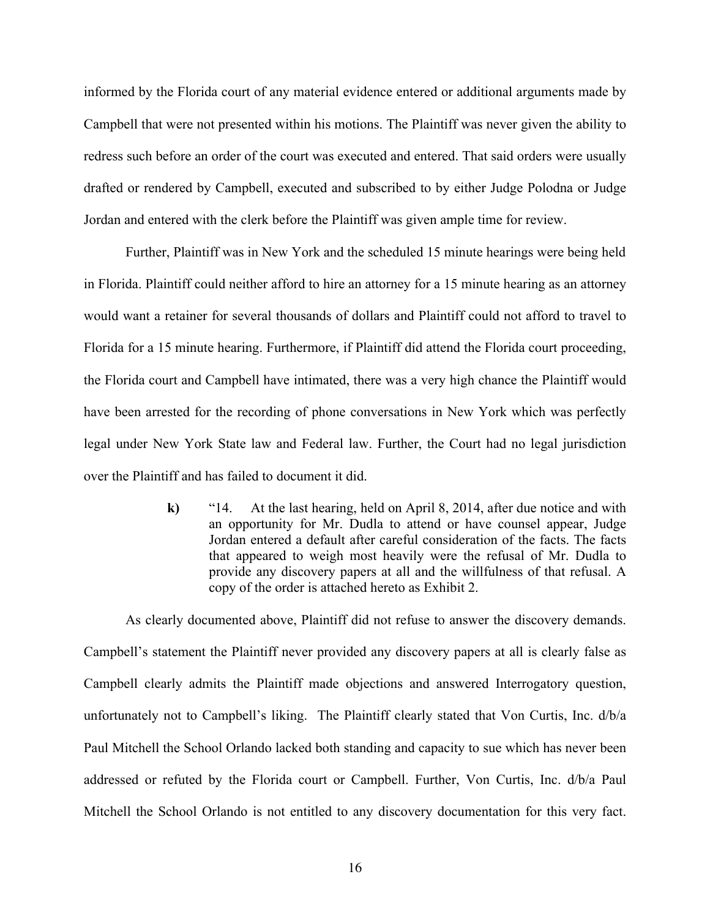informed by the Florida court of any material evidence entered or additional arguments made by Campbell that were not presented within his motions. The Plaintiff was never given the ability to redress such before an order of the court was executed and entered. That said orders were usually drafted or rendered by Campbell, executed and subscribed to by either Judge Polodna or Judge Jordan and entered with the clerk before the Plaintiff was given ample time for review.

Further, Plaintiff was in New York and the scheduled 15 minute hearings were being held in Florida. Plaintiff could neither afford to hire an attorney for a 15 minute hearing as an attorney would want a retainer for several thousands of dollars and Plaintiff could not afford to travel to Florida for a 15 minute hearing. Furthermore, if Plaintiff did attend the Florida court proceeding, the Florida court and Campbell have intimated, there was a very high chance the Plaintiff would have been arrested for the recording of phone conversations in New York which was perfectly legal under New York State law and Federal law. Further, the Court had no legal jurisdiction over the Plaintiff and has failed to document it did.

> **k)** "14. At the last hearing, held on April 8, 2014, after due notice and with an opportunity for Mr. Dudla to attend or have counsel appear, Judge Jordan entered a default after careful consideration of the facts. The facts that appeared to weigh most heavily were the refusal of Mr. Dudla to provide any discovery papers at all and the willfulness of that refusal. A copy of the order is attached hereto as Exhibit 2.

As clearly documented above, Plaintiff did not refuse to answer the discovery demands. Campbell's statement the Plaintiff never provided any discovery papers at all is clearly false as Campbell clearly admits the Plaintiff made objections and answered Interrogatory question, unfortunately not to Campbell's liking. The Plaintiff clearly stated that Von Curtis, Inc. d/b/a Paul Mitchell the School Orlando lacked both standing and capacity to sue which has never been addressed or refuted by the Florida court or Campbell. Further, Von Curtis, Inc. d/b/a Paul Mitchell the School Orlando is not entitled to any discovery documentation for this very fact.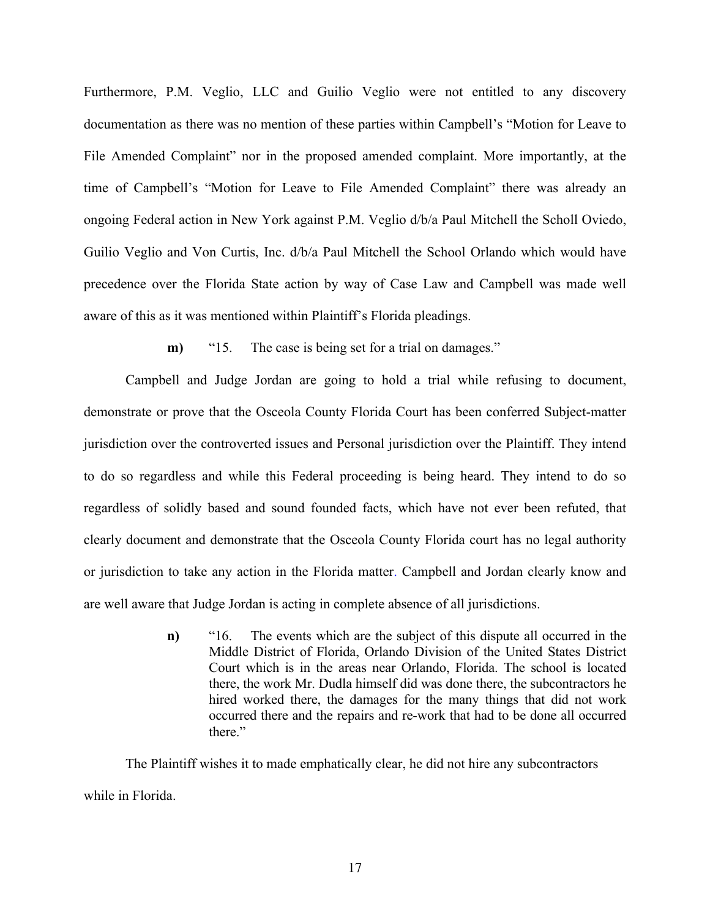Furthermore, P.M. Veglio, LLC and Guilio Veglio were not entitled to any discovery documentation as there was no mention of these parties within Campbell's "Motion for Leave to File Amended Complaint" nor in the proposed amended complaint. More importantly, at the time of Campbell's "Motion for Leave to File Amended Complaint" there was already an ongoing Federal action in New York against P.M. Veglio d/b/a Paul Mitchell the Scholl Oviedo, Guilio Veglio and Von Curtis, Inc. d/b/a Paul Mitchell the School Orlando which would have precedence over the Florida State action by way of Case Law and Campbell was made well aware of this as it was mentioned within Plaintiff's Florida pleadings.

**m)** "15. The case is being set for a trial on damages."

Campbell and Judge Jordan are going to hold a trial while refusing to document, demonstrate or prove that the Osceola County Florida Court has been conferred Subject-matter jurisdiction over the controverted issues and Personal jurisdiction over the Plaintiff. They intend to do so regardless and while this Federal proceeding is being heard. They intend to do so regardless of solidly based and sound founded facts, which have not ever been refuted, that clearly document and demonstrate that the Osceola County Florida court has no legal authority or jurisdiction to take any action in the Florida matter. Campbell and Jordan clearly know and are well aware that Judge Jordan is acting in complete absence of all jurisdictions.

> **n)** "16. The events which are the subject of this dispute all occurred in the Middle District of Florida, Orlando Division of the United States District Court which is in the areas near Orlando, Florida. The school is located there, the work Mr. Dudla himself did was done there, the subcontractors he hired worked there, the damages for the many things that did not work occurred there and the repairs and re-work that had to be done all occurred there"

The Plaintiff wishes it to made emphatically clear, he did not hire any subcontractors while in Florida.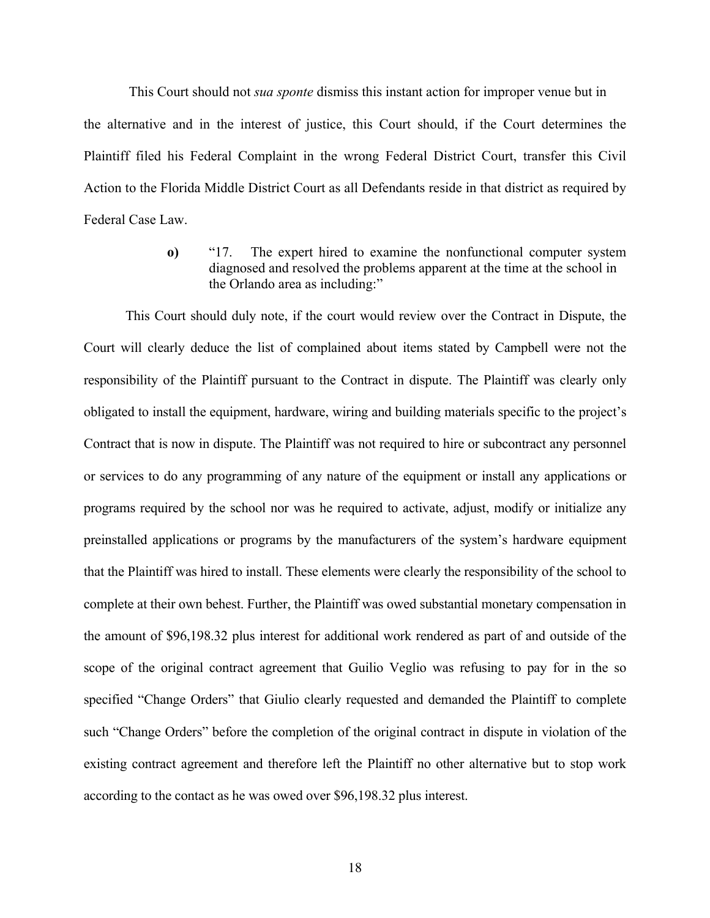This Court should not *sua sponte* dismiss this instant action for improper venue but in the alternative and in the interest of justice, this Court should, if the Court determines the Plaintiff filed his Federal Complaint in the wrong Federal District Court, transfer this Civil Action to the Florida Middle District Court as all Defendants reside in that district as required by Federal Case Law.

> **o)** "17. The expert hired to examine the nonfunctional computer system diagnosed and resolved the problems apparent at the time at the school in the Orlando area as including:"

This Court should duly note, if the court would review over the Contract in Dispute, the Court will clearly deduce the list of complained about items stated by Campbell were not the responsibility of the Plaintiff pursuant to the Contract in dispute. The Plaintiff was clearly only obligated to install the equipment, hardware, wiring and building materials specific to the project's Contract that is now in dispute. The Plaintiff was not required to hire or subcontract any personnel or services to do any programming of any nature of the equipment or install any applications or programs required by the school nor was he required to activate, adjust, modify or initialize any preinstalled applications or programs by the manufacturers of the system's hardware equipment that the Plaintiff was hired to install. These elements were clearly the responsibility of the school to complete at their own behest. Further, the Plaintiff was owed substantial monetary compensation in the amount of \$96,198.32 plus interest for additional work rendered as part of and outside of the scope of the original contract agreement that Guilio Veglio was refusing to pay for in the so specified "Change Orders" that Giulio clearly requested and demanded the Plaintiff to complete such "Change Orders" before the completion of the original contract in dispute in violation of the existing contract agreement and therefore left the Plaintiff no other alternative but to stop work according to the contact as he was owed over \$96,198.32 plus interest.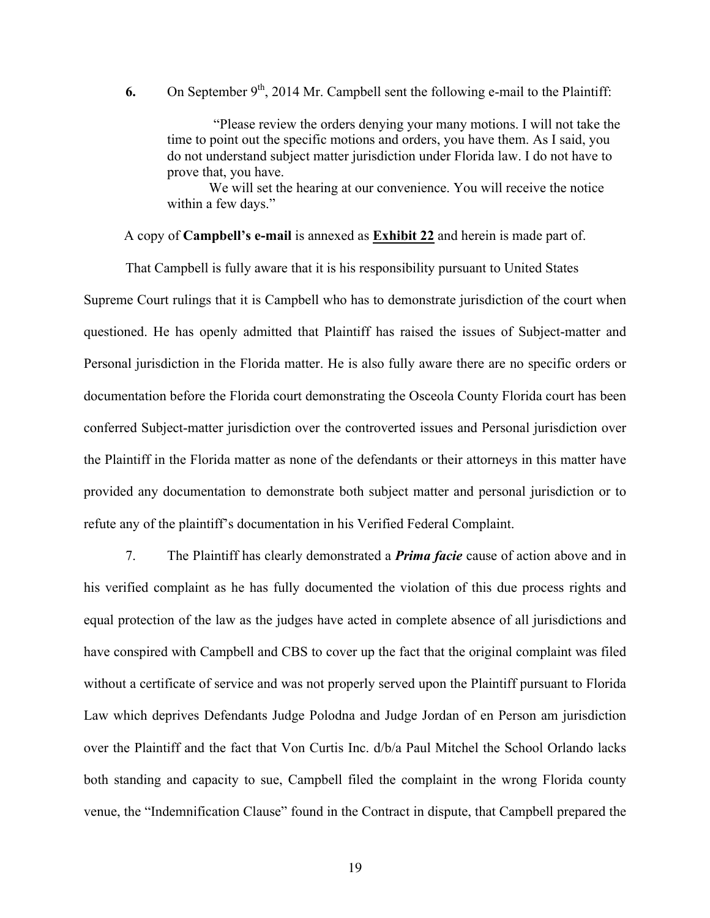6. On September  $9<sup>th</sup>$ , 2014 Mr. Campbell sent the following e-mail to the Plaintiff:

"Please review the orders denying your many motions. I will not take the time to point out the specific motions and orders, you have them. As I said, you do not understand subject matter jurisdiction under Florida law. I do not have to prove that, you have.

We will set the hearing at our convenience. You will receive the notice within a few days."

A copy of **Campbell's e-mail** is annexed as **Exhibit 22** and herein is made part of.

That Campbell is fully aware that it is his responsibility pursuant to United States

Supreme Court rulings that it is Campbell who has to demonstrate jurisdiction of the court when questioned. He has openly admitted that Plaintiff has raised the issues of Subject-matter and Personal jurisdiction in the Florida matter. He is also fully aware there are no specific orders or documentation before the Florida court demonstrating the Osceola County Florida court has been conferred Subject-matter jurisdiction over the controverted issues and Personal jurisdiction over the Plaintiff in the Florida matter as none of the defendants or their attorneys in this matter have provided any documentation to demonstrate both subject matter and personal jurisdiction or to refute any of the plaintiff's documentation in his Verified Federal Complaint.

7. The Plaintiff has clearly demonstrated a *Prima facie* cause of action above and in his verified complaint as he has fully documented the violation of this due process rights and equal protection of the law as the judges have acted in complete absence of all jurisdictions and have conspired with Campbell and CBS to cover up the fact that the original complaint was filed without a certificate of service and was not properly served upon the Plaintiff pursuant to Florida Law which deprives Defendants Judge Polodna and Judge Jordan of en Person am jurisdiction over the Plaintiff and the fact that Von Curtis Inc. d/b/a Paul Mitchel the School Orlando lacks both standing and capacity to sue, Campbell filed the complaint in the wrong Florida county venue, the "Indemnification Clause" found in the Contract in dispute, that Campbell prepared the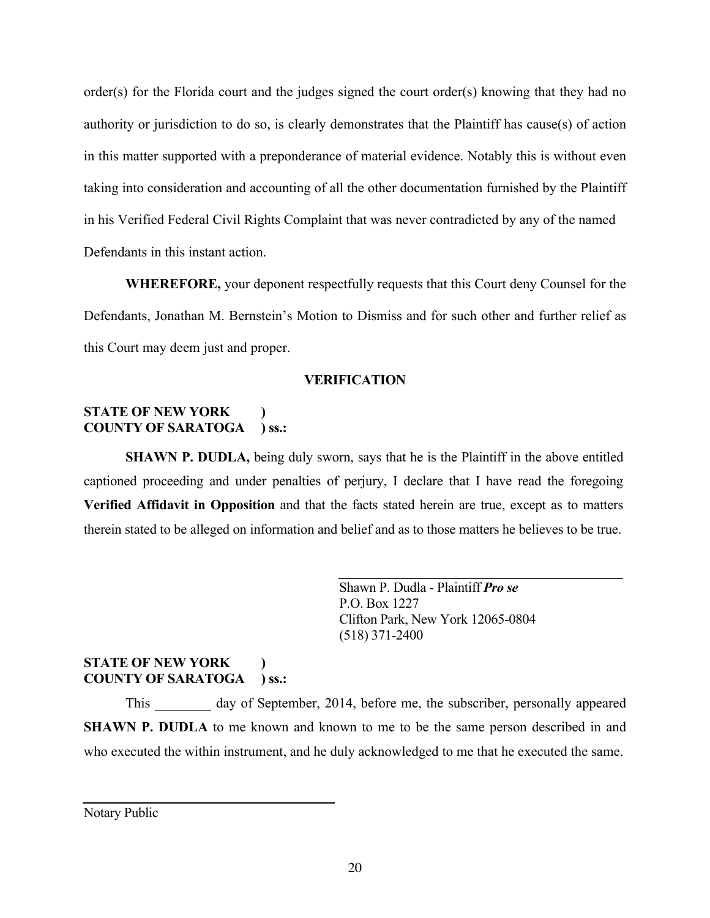order(s) for the Florida court and the judges signed the court order(s) knowing that they had no authority or jurisdiction to do so, is clearly demonstrates that the Plaintiff has cause(s) of action in this matter supported with a preponderance of material evidence. Notably this is without even taking into consideration and accounting of all the other documentation furnished by the Plaintiff in his Verified Federal Civil Rights Complaint that was never contradicted by any of the named Defendants in this instant action.

**WHEREFORE,** your deponent respectfully requests that this Court deny Counsel for the Defendants, Jonathan M. Bernstein's Motion to Dismiss and for such other and further relief as this Court may deem just and proper.

## **VERIFICATION**

## **STATE OF NEW YORK ) COUNTY OF SARATOGA ) ss.:**

**SHAWN P. DUDLA,** being duly sworn, says that he is the Plaintiff in the above entitled captioned proceeding and under penalties of perjury, I declare that I have read the foregoing **Verified Affidavit in Opposition** and that the facts stated herein are true, except as to matters therein stated to be alleged on information and belief and as to those matters he believes to be true.

> Shawn P. Dudla - Plaintiff *Pro se* P.O. Box 1227 Clifton Park, New York 12065-0804 (518) 371-2400

## **STATE OF NEW YORK ) COUNTY OF SARATOGA ) ss.:**

This day of September, 2014, before me, the subscriber, personally appeared **SHAWN P. DUDLA** to me known and known to me to be the same person described in and who executed the within instrument, and he duly acknowledged to me that he executed the same.

Notary Public